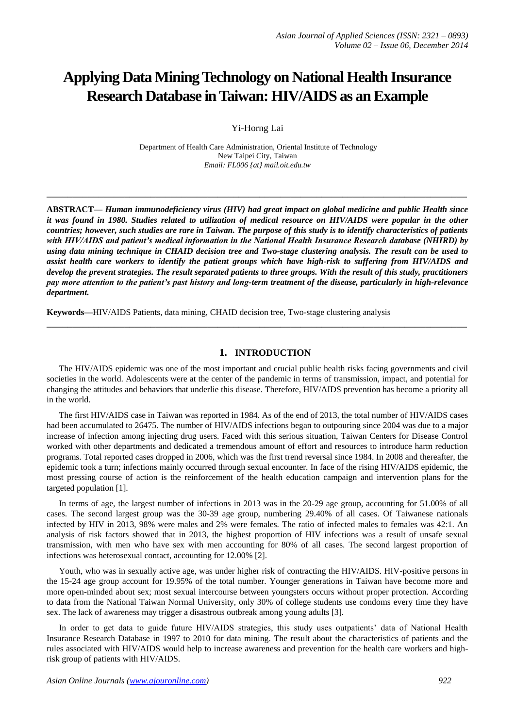# **Applying Data Mining Technology on National Health Insurance Research Database in Taiwan: HIV/AIDS as an Example**

Yi-Horng Lai

Department of Health Care Administration, Oriental Institute of Technology New Taipei City, Taiwan *Email: FL006 {at} mail.oit.edu.tw*

**\_\_\_\_\_\_\_\_\_\_\_\_\_\_\_\_\_\_\_\_\_\_\_\_\_\_\_\_\_\_\_\_\_\_\_\_\_\_\_\_\_\_\_\_\_\_\_\_\_\_\_\_\_\_\_\_\_\_\_\_\_\_\_\_\_\_\_\_\_\_\_\_\_\_\_\_\_\_\_\_\_**

**ABSTRACT—** *Human immunodeficiency virus (HIV) had great impact on global medicine and public Health since it was found in 1980. Studies related to utilization of medical resource on HIV/AIDS were popular in the other countries; however, such studies are rare in Taiwan. The purpose of this study is to identify characteristics of patients with HIV/AIDS and patient's medical information in the National Health Insurance Research database (NHIRD) by using data mining technique in CHAID decision tree and Two-stage clustering analysis. The result can be used to assist health care workers to identify the patient groups which have high-risk to suffering from HIV/AIDS and develop the prevent strategies. The result separated patients to three groups. With the result of this study, practitioners pay more attention to the patient's past history and long-term treatment of the disease, particularly in high-relevance department.*

**Keywords—**HIV/AIDS Patients, data mining, CHAID decision tree, Two-stage clustering analysis

#### **1. INTRODUCTION**

The HIV/AIDS epidemic was one of the most important and crucial public health risks facing governments and civil societies in the world. Adolescents were at the center of the pandemic in terms of transmission, impact, and potential for changing the attitudes and behaviors that underlie this disease. Therefore, HIV/AIDS prevention has become a priority all in the world.

**\_\_\_\_\_\_\_\_\_\_\_\_\_\_\_\_\_\_\_\_\_\_\_\_\_\_\_\_\_\_\_\_\_\_\_\_\_\_\_\_\_\_\_\_\_\_\_\_\_\_\_\_\_\_\_\_\_\_\_\_\_\_\_\_\_\_\_\_\_\_\_\_\_\_\_\_\_\_\_\_\_**

The first HIV/AIDS case in Taiwan was reported in 1984. As of the end of 2013, the total number of HIV/AIDS cases had been accumulated to 26475. The number of HIV/AIDS infections began to outpouring since 2004 was due to a major increase of infection among injecting drug users. Faced with this serious situation, Taiwan Centers for Disease Control worked with other departments and dedicated a tremendous amount of effort and resources to introduce harm reduction programs. Total reported cases dropped in 2006, which was the first trend reversal since 1984. In 2008 and thereafter, the epidemic took a turn; infections mainly occurred through sexual encounter. In face of the rising HIV/AIDS epidemic, the most pressing course of action is the reinforcement of the health education campaign and intervention plans for the targeted population [1].

In terms of age, the largest number of infections in 2013 was in the 20-29 age group, accounting for 51.00% of all cases. The second largest group was the 30-39 age group, numbering 29.40% of all cases. Of Taiwanese nationals infected by HIV in 2013, 98% were males and 2% were females. The ratio of infected males to females was 42:1. An analysis of risk factors showed that in 2013, the highest proportion of HIV infections was a result of unsafe sexual transmission, with men who have sex with men accounting for 80% of all cases. The second largest proportion of infections was heterosexual contact, accounting for 12.00% [2].

Youth, who was in sexually active age, was under higher risk of contracting the HIV/AIDS. HIV-positive persons in the 15-24 age group account for 19.95% of the total number. Younger generations in Taiwan have become more and more open-minded about sex; most sexual intercourse between youngsters occurs without proper protection. According to data from the National Taiwan Normal University, only 30% of college students use condoms every time they have sex. The lack of awareness may trigger a disastrous outbreak among young adults [3].

In order to get data to guide future HIV/AIDS strategies, this study uses outpatients' data of National Health Insurance Research Database in 1997 to 2010 for data mining. The result about the characteristics of patients and the rules associated with HIV/AIDS would help to increase awareness and prevention for the health care workers and highrisk group of patients with HIV/AIDS.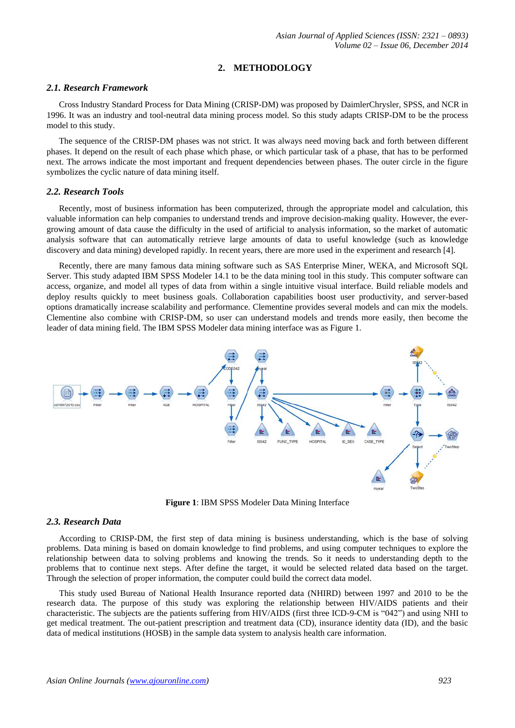## **2. METHODOLOGY**

#### *2.1. Research Framework*

Cross Industry Standard Process for Data Mining (CRISP-DM) was proposed by DaimlerChrysler, SPSS, and NCR in 1996. It was an industry and tool-neutral data mining process model. So this study adapts CRISP-DM to be the process model to this study.

The sequence of the CRISP-DM phases was not strict. It was always need moving back and forth between different phases. It depend on the result of each phase which phase, or which particular task of a phase, that has to be performed next. The arrows indicate the most important and frequent dependencies between phases. The outer circle in the figure symbolizes the cyclic nature of data mining itself.

## *2.2. Research Tools*

Recently, most of business information has been computerized, through the appropriate model and calculation, this valuable information can help companies to understand trends and improve decision-making quality. However, the evergrowing amount of data cause the difficulty in the used of artificial to analysis information, so the market of automatic analysis software that can automatically retrieve large amounts of data to useful knowledge (such as knowledge discovery and data mining) developed rapidly. In recent years, there are more used in the experiment and research [4].

Recently, there are many famous data mining software such as SAS Enterprise Miner, WEKA, and Microsoft SQL Server. This study adapted IBM SPSS Modeler 14.1 to be the data mining tool in this study. This computer software can access, organize, and model all types of data from within a single intuitive visual interface. Build reliable models and deploy results quickly to meet business goals. Collaboration capabilities boost user productivity, and server-based options dramatically increase scalability and performance. Clementine provides several models and can mix the models. Clementine also combine with CRISP-DM, so user can understand models and trends more easily, then become the leader of data mining field. The IBM SPSS Modeler data mining interface was as Figure 1.



**Figure 1**: IBM SPSS Modeler Data Mining Interface

## *2.3. Research Data*

According to CRISP-DM, the first step of data mining is business understanding, which is the base of solving problems. Data mining is based on domain knowledge to find problems, and using computer techniques to explore the relationship between data to solving problems and knowing the trends. So it needs to understanding depth to the problems that to continue next steps. After define the target, it would be selected related data based on the target. Through the selection of proper information, the computer could build the correct data model.

This study used Bureau of National Health Insurance reported data (NHIRD) between 1997 and 2010 to be the research data. The purpose of this study was exploring the relationship between HIV/AIDS patients and their characteristic. The subjects are the patients suffering from HIV/AIDS (first three ICD-9-CM is "042") and using NHI to get medical treatment. The out-patient prescription and treatment data (CD), insurance identity data (ID), and the basic data of medical institutions (HOSB) in the sample data system to analysis health care information.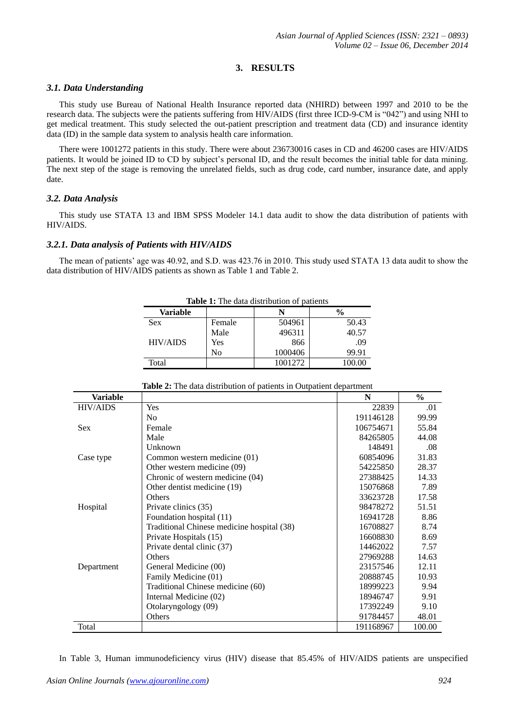# **3. RESULTS**

## *3.1. Data Understanding*

This study use Bureau of National Health Insurance reported data (NHIRD) between 1997 and 2010 to be the research data. The subjects were the patients suffering from HIV/AIDS (first three ICD-9-CM is "042") and using NHI to get medical treatment. This study selected the out-patient prescription and treatment data (CD) and insurance identity data (ID) in the sample data system to analysis health care information.

There were 1001272 patients in this study. There were about 236730016 cases in CD and 46200 cases are HIV/AIDS patients. It would be joined ID to CD by subject's personal ID, and the result becomes the initial table for data mining. The next step of the stage is removing the unrelated fields, such as drug code, card number, insurance date, and apply date.

## *3.2. Data Analysis*

This study use STATA 13 and IBM SPSS Modeler 14.1 data audit to show the data distribution of patients with HIV/AIDS.

## *3.2.1. Data analysis of Patients with HIV/AIDS*

The mean of patients' age was 40.92, and S.D. was 423.76 in 2010. This study used STATA 13 data audit to show the data distribution of HIV/AIDS patients as shown as Table 1 and Table 2.

| <b>Table 1:</b> The data distribution of patients |        |         |               |
|---------------------------------------------------|--------|---------|---------------|
| Variable                                          |        |         | $\frac{6}{9}$ |
| <b>Sex</b>                                        | Female | 504961  | 50.43         |
|                                                   | Male   | 496311  | 40.57         |
| <b>HIV/AIDS</b>                                   | Yes    | 866     | .09           |
|                                                   | No     | 1000406 | 99.91         |
| Total                                             |        | 1001272 | 100.00        |

**Table 1:** The data distribution of patients

| Variable        |                                            | N         | $\frac{6}{6}$ |
|-----------------|--------------------------------------------|-----------|---------------|
| <b>HIV/AIDS</b> | Yes                                        | 22839     | .01           |
|                 | N <sub>0</sub>                             | 191146128 | 99.99         |
| <b>Sex</b>      | Female                                     | 106754671 | 55.84         |
|                 | Male                                       | 84265805  | 44.08         |
|                 | Unknown                                    | 148491    | .08           |
| Case type       | Common western medicine (01)               | 60854096  | 31.83         |
|                 | Other western medicine (09)                | 54225850  | 28.37         |
|                 | Chronic of western medicine (04)           | 27388425  | 14.33         |
|                 | Other dentist medicine (19)                | 15076868  | 7.89          |
|                 | Others                                     | 33623728  | 17.58         |
| Hospital        | Private clinics (35)                       | 98478272  | 51.51         |
|                 | Foundation hospital (11)                   | 16941728  | 8.86          |
|                 | Traditional Chinese medicine hospital (38) | 16708827  | 8.74          |
|                 | Private Hospitals (15)                     | 16608830  | 8.69          |
|                 | Private dental clinic (37)                 | 14462022  | 7.57          |
|                 | Others                                     | 27969288  | 14.63         |
| Department      | General Medicine (00)                      | 23157546  | 12.11         |
|                 | Family Medicine (01)                       | 20888745  | 10.93         |
|                 | Traditional Chinese medicine (60)          | 18999223  | 9.94          |
|                 | Internal Medicine (02)                     | 18946747  | 9.91          |
|                 | Otolaryngology (09)                        | 17392249  | 9.10          |
|                 | Others                                     | 91784457  | 48.01         |
| Total           |                                            | 191168967 | 100.00        |

**Table 2:** The data distribution of patients in Outpatient department

In Table 3, Human immunodeficiency virus (HIV) disease that 85.45% of HIV/AIDS patients are unspecified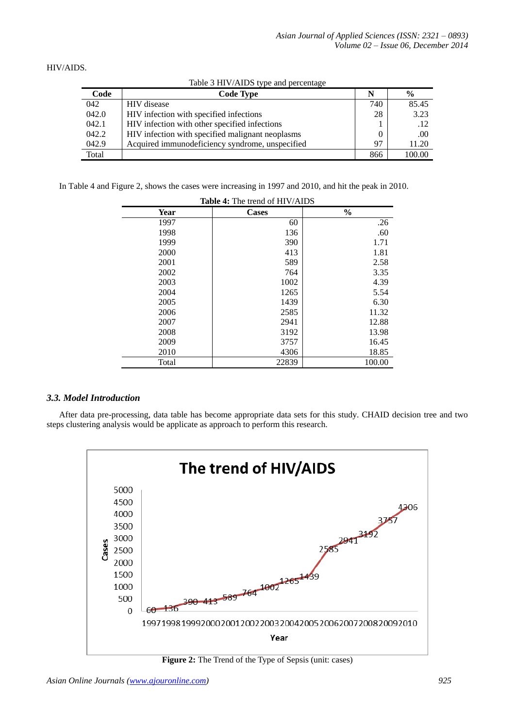HIV/AIDS.

| Code  | <b>Code Type</b>                                 | N   | $\frac{0}{0}$ |
|-------|--------------------------------------------------|-----|---------------|
| 042   | <b>HIV</b> disease                               | 740 | 85.45         |
| 042.0 | HIV infection with specified infections          | 28  | 3.23          |
| 042.1 | HIV infection with other specified infections    |     | .12           |
| 042.2 | HIV infection with specified malignant neoplasms |     | .00           |
| 042.9 | Acquired immunodeficiency syndrome, unspecified  | 97  | 11.20         |
| Total |                                                  | 866 | 100.00        |

Table 3 HIV/AIDS type and percentage

In Table 4 and Figure 2, shows the cases were increasing in 1997 and 2010, and hit the peak in 2010.

| 0.000 |              |               |  |
|-------|--------------|---------------|--|
| Year  | <b>Cases</b> | $\frac{0}{0}$ |  |
| 1997  | 60           | .26           |  |
| 1998  | 136          | .60           |  |
| 1999  | 390          | 1.71          |  |
| 2000  | 413          | 1.81          |  |
| 2001  | 589          | 2.58          |  |
| 2002  | 764          | 3.35          |  |
| 2003  | 1002         | 4.39          |  |
| 2004  | 1265         | 5.54          |  |
| 2005  | 1439         | 6.30          |  |
| 2006  | 2585         | 11.32         |  |
| 2007  | 2941         | 12.88         |  |
| 2008  | 3192         | 13.98         |  |
| 2009  | 3757         | 16.45         |  |
| 2010  | 4306         | 18.85         |  |
| Total | 22839        | 100.00        |  |

#### **Table 4:** The trend of HIV/AIDS

## *3.3. Model Introduction*

After data pre-processing, data table has become appropriate data sets for this study. CHAID decision tree and two steps clustering analysis would be applicate as approach to perform this research.



**Figure 2:** The Trend of the Type of Sepsis (unit: cases)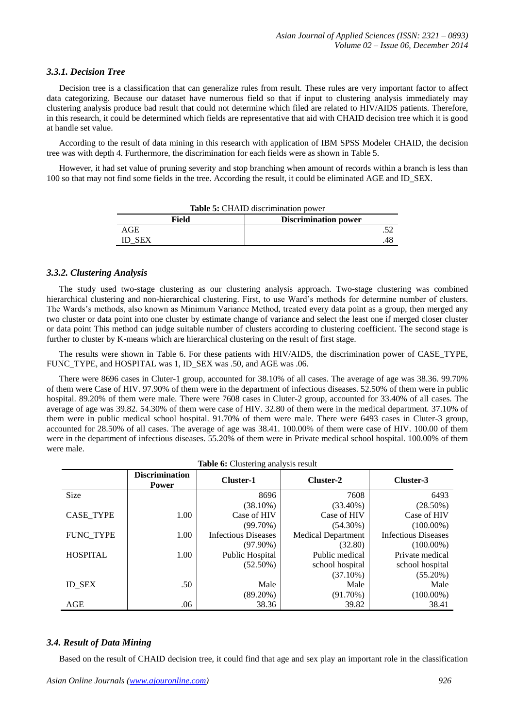#### *3.3.1. Decision Tree*

Decision tree is a classification that can generalize rules from result. These rules are very important factor to affect data categorizing. Because our dataset have numerous field so that if input to clustering analysis immediately may clustering analysis produce bad result that could not determine which filed are related to HIV/AIDS patients. Therefore, in this research, it could be determined which fields are representative that aid with CHAID decision tree which it is good at handle set value.

According to the result of data mining in this research with application of IBM SPSS Modeler CHAID, the decision tree was with depth 4. Furthermore, the discrimination for each fields were as shown in Table 5.

However, it had set value of pruning severity and stop branching when amount of records within a branch is less than 100 so that may not find some fields in the tree. According the result, it could be eliminated AGE and ID\_SEX.

| <b>Table 5:</b> CHAID discrimination power |                             |  |  |
|--------------------------------------------|-----------------------------|--|--|
| Field                                      | <b>Discrimination power</b> |  |  |
| AGE                                        |                             |  |  |
| ID SEX                                     |                             |  |  |

#### *3.3.2. Clustering Analysis*

The study used two-stage clustering as our clustering analysis approach. Two-stage clustering was combined hierarchical clustering and non-hierarchical clustering. First, to use Ward's methods for determine number of clusters. The Wards's methods, also known as Minimum Variance Method, treated every data point as a group, then merged any two cluster or data point into one cluster by estimate change of variance and select the least one if merged closer cluster or data point This method can judge suitable number of clusters according to clustering coefficient. The second stage is further to cluster by K-means which are hierarchical clustering on the result of first stage.

The results were shown in Table 6. For these patients with HIV/AIDS, the discrimination power of CASE\_TYPE, FUNC TYPE, and HOSPITAL was 1, ID\_SEX was .50, and AGE was .06.

There were 8696 cases in Cluter-1 group, accounted for 38.10% of all cases. The average of age was 38.36. 99.70% of them were Case of HIV. 97.90% of them were in the department of infectious diseases. 52.50% of them were in public hospital. 89.20% of them were male. There were 7608 cases in Cluter-2 group, accounted for 33.40% of all cases. The average of age was 39.82. 54.30% of them were case of HIV. 32.80 of them were in the medical department. 37.10% of them were in public medical school hospital. 91.70% of them were male. There were 6493 cases in Cluter-3 group, accounted for 28.50% of all cases. The average of age was 38.41. 100.00% of them were case of HIV. 100.00 of them were in the department of infectious diseases. 55.20% of them were in Private medical school hospital. 100.00% of them were male.

| <b>Table 6:</b> Clustering analysis result |                                       |                            |                           |                            |
|--------------------------------------------|---------------------------------------|----------------------------|---------------------------|----------------------------|
|                                            | <b>Discrimination</b><br><b>Power</b> | Cluster-1                  | Cluster-2                 | Cluster-3                  |
| Size                                       |                                       | 8696                       | 7608                      | 6493                       |
|                                            |                                       | $(38.10\%)$                | $(33.40\%)$               | $(28.50\%)$                |
| <b>CASE TYPE</b>                           | 1.00                                  | Case of HIV                | Case of HIV               | Case of HIV                |
|                                            |                                       | $(99.70\%)$                | $(54.30\%)$               | $(100.00\%)$               |
| FUNC_TYPE                                  | 1.00                                  | <b>Infectious Diseases</b> | <b>Medical Department</b> | <b>Infectious Diseases</b> |
|                                            |                                       | $(97.90\%)$                | (32.80)                   | $(100.00\%)$               |
| <b>HOSPITAL</b>                            | 1.00                                  | Public Hospital            | Public medical            | Private medical            |
|                                            |                                       | $(52.50\%)$                | school hospital           | school hospital            |
|                                            |                                       |                            | $(37.10\%)$               | $(55.20\%)$                |
| <b>ID SEX</b>                              | .50                                   | Male                       | Male                      | Male                       |
|                                            |                                       | $(89.20\%)$                | $(91.70\%)$               | $(100.00\%)$               |
| AGE                                        | .06                                   | 38.36                      | 39.82                     | 38.41                      |

## *3.4. Result of Data Mining*

Based on the result of CHAID decision tree, it could find that age and sex play an important role in the classification